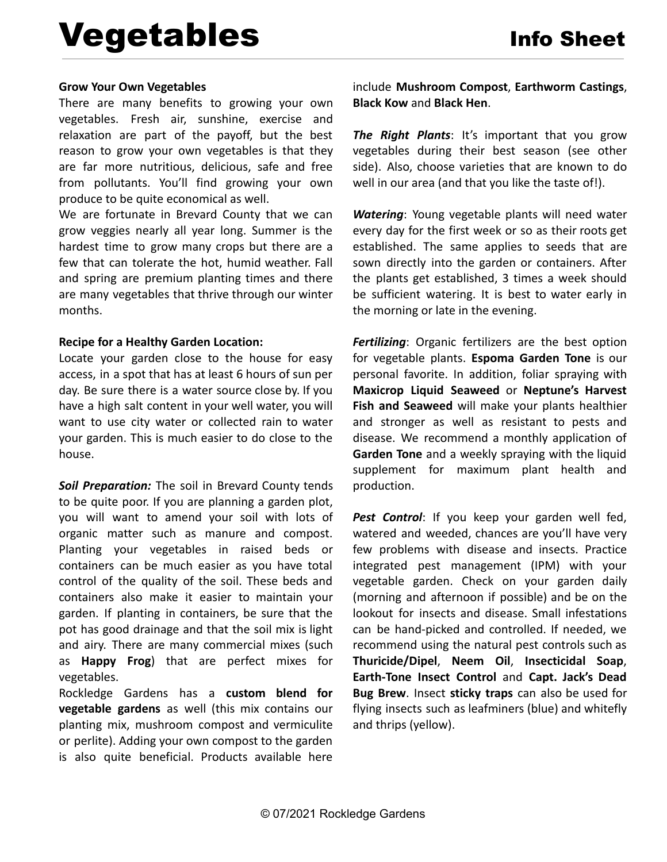## **Grow Your Own Vegetables**

There are many benefits to growing your own vegetables. Fresh air, sunshine, exercise and relaxation are part of the payoff, but the best reason to grow your own vegetables is that they are far more nutritious, delicious, safe and free from pollutants. You'll find growing your own produce to be quite economical as well.

We are fortunate in Brevard County that we can grow veggies nearly all year long. Summer is the hardest time to grow many crops but there are a few that can tolerate the hot, humid weather. Fall and spring are premium planting times and there are many vegetables that thrive through our winter months.

## **Recipe for a Healthy Garden Location:**

Locate your garden close to the house for easy access, in a spot that has at least 6 hours of sun per day. Be sure there is a water source close by. If you have a high salt content in your well water, you will want to use city water or collected rain to water your garden. This is much easier to do close to the house.

*Soil Preparation:* The soil in Brevard County tends to be quite poor. If you are planning a garden plot, you will want to amend your soil with lots of organic matter such as manure and compost. Planting your vegetables in raised beds or containers can be much easier as you have total control of the quality of the soil. These beds and containers also make it easier to maintain your garden. If planting in containers, be sure that the pot has good drainage and that the soil mix is light and airy. There are many commercial mixes (such as **Happy Frog**) that are perfect mixes for vegetables.

Rockledge Gardens has a **custom blend for vegetable gardens** as well (this mix contains our planting mix, mushroom compost and vermiculite or perlite). Adding your own compost to the garden is also quite beneficial. Products available here include **Mushroom Compost**, **Earthworm Castings**, **Black Kow** and **Black Hen**.

*The Right Plants*: It's important that you grow vegetables during their best season (see other side). Also, choose varieties that are known to do well in our area (and that you like the taste of!).

*Watering*: Young vegetable plants will need water every day for the first week or so as their roots get established. The same applies to seeds that are sown directly into the garden or containers. After the plants get established, 3 times a week should be sufficient watering. It is best to water early in the morning or late in the evening.

*Fertilizing*: Organic fertilizers are the best option for vegetable plants. **Espoma Garden Tone** is our personal favorite. In addition, foliar spraying with **Maxicrop Liquid Seaweed** or **Neptune's Harvest Fish and Seaweed** will make your plants healthier and stronger as well as resistant to pests and disease. We recommend a monthly application of **Garden Tone** and a weekly spraying with the liquid supplement for maximum plant health and production.

*Pest Control*: If you keep your garden well fed, watered and weeded, chances are you'll have very few problems with disease and insects. Practice integrated pest management (IPM) with your vegetable garden. Check on your garden daily (morning and afternoon if possible) and be on the lookout for insects and disease. Small infestations can be hand-picked and controlled. If needed, we recommend using the natural pest controls such as **Thuricide/Dipel**, **Neem Oil**, **Insecticidal Soap**, **Earth-Tone Insect Control** and **Capt. Jack's Dead Bug Brew**. Insect **sticky traps** can also be used for flying insects such as leafminers (blue) and whitefly and thrips (yellow).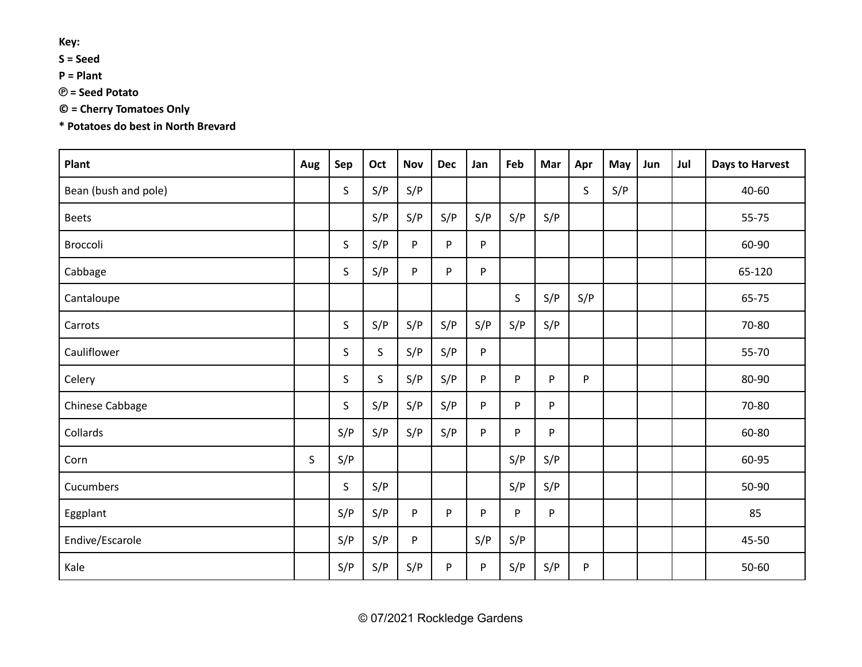**Key:**

**S = Seed**

**P = Plant**

**℗ = Seed Potato**

**© = Cherry Tomatoes Only**

**\* Potatoes do best in North Brevard**

| Plant                | Aug | Sep | Oct         | <b>Nov</b> | <b>Dec</b> | Jan       | Feb | Mar | Apr | May | Jun | Jul | <b>Days to Harvest</b> |
|----------------------|-----|-----|-------------|------------|------------|-----------|-----|-----|-----|-----|-----|-----|------------------------|
| Bean (bush and pole) |     | S   | S/P         | S/P        |            |           |     |     | S   | S/P |     |     | 40-60                  |
| <b>Beets</b>         |     |     | S/P         | S/P        | S/P        | S/P       | S/P | S/P |     |     |     |     | 55-75                  |
| Broccoli             |     | S   | S/P         | P          | P          | P         |     |     |     |     |     |     | 60-90                  |
| Cabbage              |     | S.  | S/P         | P          | P          | P         |     |     |     |     |     |     | 65-120                 |
| Cantaloupe           |     |     |             |            |            |           | S   | S/P | S/P |     |     |     | 65-75                  |
| Carrots              |     | S   | S/P         | S/P        | S/P        | S/P       | S/P | S/P |     |     |     |     | 70-80                  |
| Cauliflower          |     | S   | $\mathsf S$ | S/P        | S/P        | P         |     |     |     |     |     |     | 55-70                  |
| Celery               |     | S   | $\mathsf S$ | S/P        | S/P        | P         | P   | P   | P   |     |     |     | 80-90                  |
| Chinese Cabbage      |     | S   | S/P         | S/P        | S/P        | ${\sf P}$ | P   | P   |     |     |     |     | 70-80                  |
| Collards             |     | S/P | S/P         | S/P        | S/P        | P         | P   | P   |     |     |     |     | 60-80                  |
| Corn                 | S   | S/P |             |            |            |           | S/P | S/P |     |     |     |     | 60-95                  |
| Cucumbers            |     | S.  | S/P         |            |            |           | S/P | S/P |     |     |     |     | 50-90                  |
| Eggplant             |     | S/P | S/P         | P          | P          | P         | P   | P   |     |     |     |     | 85                     |
| Endive/Escarole      |     | S/P | S/P         | P          |            | S/P       | S/P |     |     |     |     |     | 45-50                  |
| Kale                 |     | S/P | S/P         | S/P        | P          | P         | S/P | S/P | P   |     |     |     | 50-60                  |